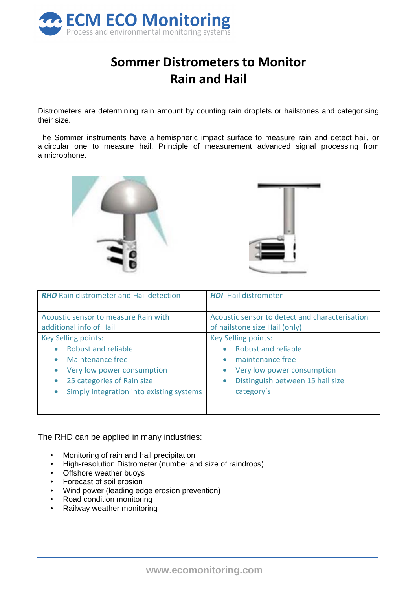

## **Sommer Distrometers to Monitor Rain and Hail**

Distrometers are determining rain amount by counting rain droplets or hailstones and categorising their size.

The Sommer instruments have a hemispheric impact surface to measure rain and detect hail, or a circular one to measure hail. Principle of measurement advanced signal processing from a microphone.





| <b>RHD</b> Rain distrometer and Hail detection                                                                                                                                | <b>HDI</b> Hail distrometer                                                                                                                                                                         |
|-------------------------------------------------------------------------------------------------------------------------------------------------------------------------------|-----------------------------------------------------------------------------------------------------------------------------------------------------------------------------------------------------|
| Acoustic sensor to measure Rain with<br>additional info of Hail                                                                                                               | Acoustic sensor to detect and characterisation<br>of hailstone size Hail (only)                                                                                                                     |
| <b>Key Selling points:</b><br>Robust and reliable<br>Maintenance free<br>Very low power consumption<br>25 categories of Rain size<br>Simply integration into existing systems | <b>Key Selling points:</b><br><b>Robust and reliable</b><br>$\bullet$<br>maintenance free<br>Very low power consumption<br>$\bullet$<br>Distinguish between 15 hail size<br>$\bullet$<br>category's |

The RHD can be applied in many industries:

- Monitoring of rain and hail precipitation
- High-resolution Distrometer (number and size of raindrops)
- Offshore weather buoys
- Forecast of soil erosion
- Wind power (leading edge erosion prevention)
- Road condition monitoring
- Railway weather monitoring